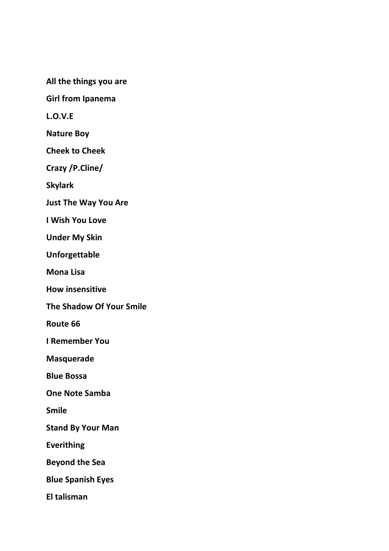**All the things you are**

**Girl from Ipanema**

**L.O.V.E**

**Nature Boy**

**Cheek to Cheek**

**Crazy /P.Cline/**

**Skylark**

**Just The Way You Are**

**I Wish You Love**

**Under My Skin**

**Unforgettable**

**Mona Lisa**

**How insensitive**

**The Shadow Of Your Smile**

**Route 66**

**I Remember You**

**Masquerade**

**Blue Bossa**

**One Note Samba**

**Smile**

**Stand By Your Man**

**Everithing**

**Beyond the Sea**

**Blue Spanish Eyes**

**El talisman**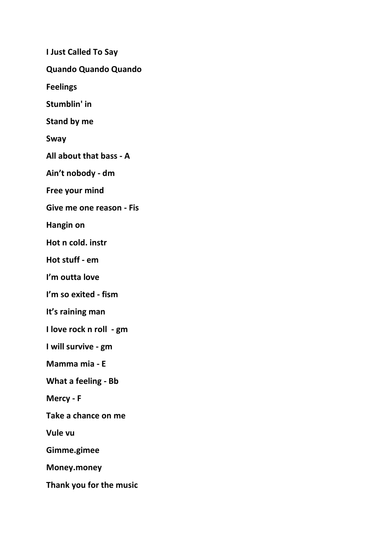**I Just Called To Say Quando Quando Quando Feelings Stumblin' in Stand by me Sway All about that bass - A Ain't nobody - dm Free your mind Give me one reason - Fis Hangin on Hot n cold. instr Hot stuff - em I'm outta love I'm so exited - fism It's raining man I love rock n roll - gm I will survive - gm Mamma mia - E What a feeling - Bb Mercy - F Take a chance on me Vule vu Gimme.gimee Money.money Thank you for the music**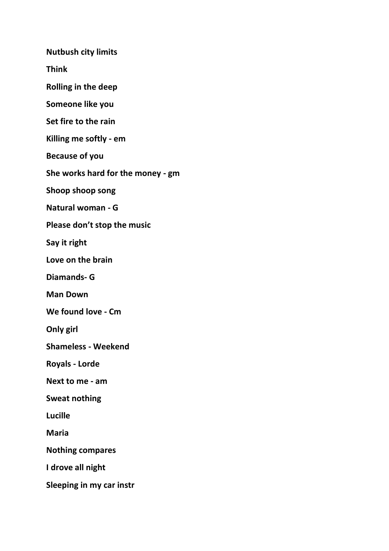**Nutbush city limits**

**Think**

**Rolling in the deep**

**Someone like you**

**Set fire to the rain**

**Killing me softly - em**

**Because of you**

**She works hard for the money - gm**

**Shoop shoop song**

**Natural woman - G**

**Please don't stop the music**

**Say it right**

**Love on the brain**

**Diamands- G**

**Man Down**

**We found love - Cm**

**Only girl**

**Shameless - Weekend**

**Royals - Lorde** 

**Next to me - am**

**Sweat nothing**

**Lucille**

**Maria**

**Nothing compares**

**I drove all night**

**Sleeping in my car instr**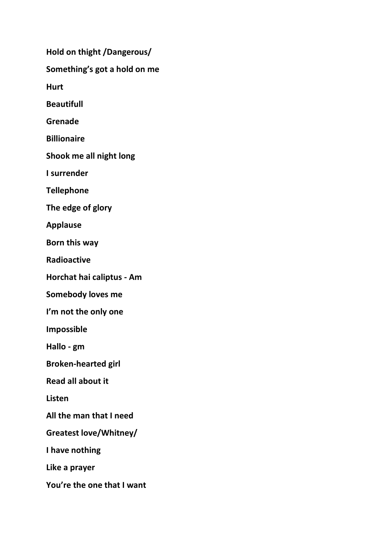**Hold on thight /Dangerous/ Something's got a hold on me Hurt Beautifull Grenade Billionaire Shook me all night long I surrender Tellephone The edge of glory Applause Born this way Radioactive Horchat hai caliptus - Am Somebody loves me I'm not the only one Impossible Hallo - gm Broken-hearted girl Read all about it Listen All the man that I need Greatest love/Whitney/ I have nothing Like a prayer You're the one that I want**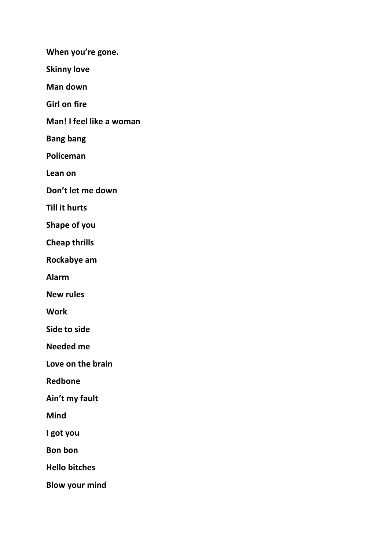**When you're gone.**

**Skinny love**

**Man down**

**Girl on fire**

**Man! I feel like a woman** 

**Bang bang** 

**Policeman**

**Lean on**

**Don't let me down**

**Till it hurts**

**Shape of you**

**Cheap thrills**

**Rockabye am** 

**Alarm**

**New rules**

**Work**

**Side to side**

**Needed me**

**Love on the brain**

**Redbone**

**Ain't my fault**

**Mind**

**I got you**

**Bon bon**

**Hello bitches**

**Blow your mind**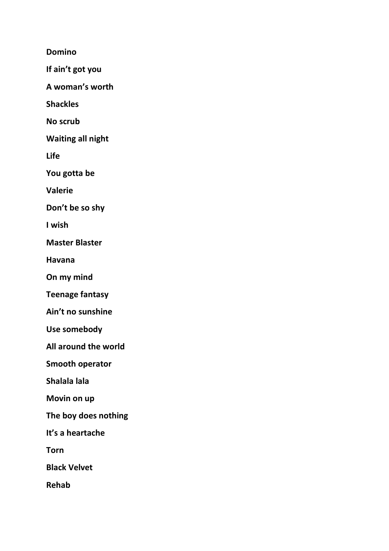**Domino**

**If ain't got you** 

**A woman's worth** 

**Shackles**

**No scrub**

**Waiting all night** 

**Life**

**You gotta be**

**Valerie**

**Don't be so shy**

**I wish**

**Master Blaster** 

**Havana**

**On my mind**

**Teenage fantasy** 

**Ain't no sunshine** 

**Use somebody**

**All around the world** 

**Smooth operator**

**Shalala lala**

**Movin on up**

**The boy does nothing** 

**It's a heartache** 

**Torn**

**Black Velvet** 

**Rehab**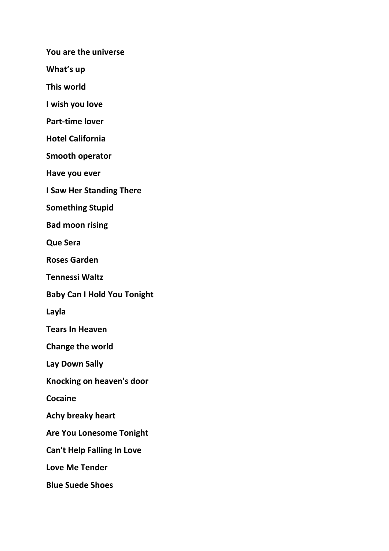**You are the universe** 

**What's up** 

**This world**

**I wish you love**

**Part-time lover**

**Hotel California**

**Smooth operator** 

**Have you ever**

**I Saw Her Standing There**

**Something Stupid**

**Bad moon rising** 

**Que Sera**

**Roses Garden**

**Tennessi Waltz**

**Baby Can I Hold You Tonight**

**Layla**

**Tears In Heaven**

**Change the world**

**Lay Down Sally**

**Knocking on heaven's door**

**Cocaine**

**Achy breaky heart** 

**Are You Lonesome Tonight**

**Can't Help Falling In Love** 

**Love Me Tender**

**Blue Suede Shoes**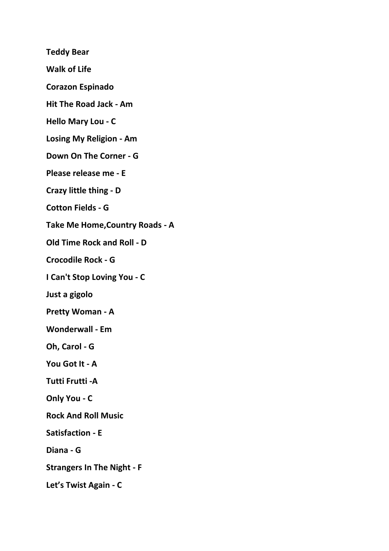**Teddy Bear Walk of Life Corazon Espinado Hit The Road Jack - Am Hello Mary Lou - C Losing My Religion - Am Down On The Corner - G Please release me - E Crazy little thing - D Cotton Fields - G Take Me Home,Country Roads - A Old Time Rock and Roll - D Crocodile Rock - G I Can't Stop Loving You - C Just a gigolo Pretty Woman - A Wonderwall - Em Oh, Carol - G You Got It - A**

**Tutti Frutti -A**

**Only You - C**

**Rock And Roll Music**

**Satisfaction - E**

**Diana - G**

**Strangers In The Night - F**

**Let's Twist Again - C**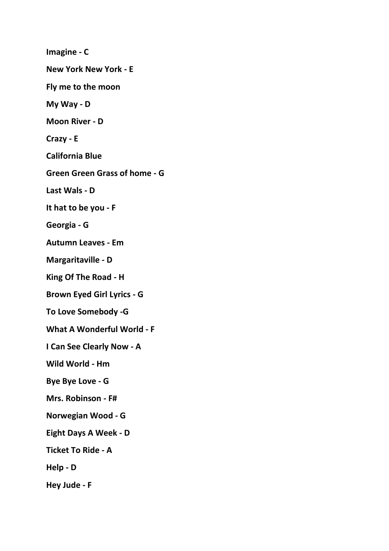**Imagine - C New York New York - E Fly me to the moon My Way - D Moon River - D Crazy - E California Blue Green Green Grass of home - G Last Wals - D It hat to be you - F Georgia - G Autumn Leaves - Em Margaritaville - D King Of The Road - H Brown Eyed Girl Lyrics - G To Love Somebody -G What A Wonderful World - F I Can See Clearly Now - A Wild World - Hm Bye Bye Love - G Mrs. Robinson - F# Norwegian Wood - G Eight Days A Week - D Ticket To Ride - A Help - D Hey Jude - F**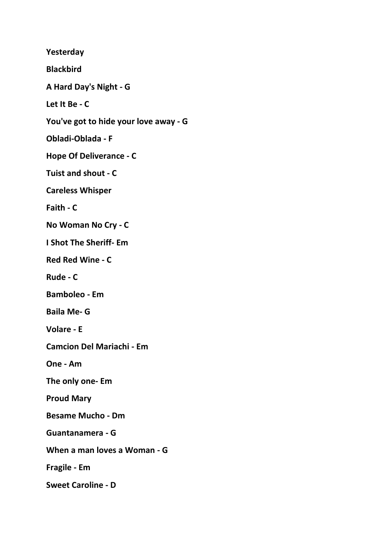**Yesterday Blackbird A Hard Day's Night - G Let It Be - C You've got to hide your love away - G Obladi-Oblada - F Hope Of Deliverance - C Tuist and shout - C Careless Whisper Faith - C No Woman No Cry - C I Shot The Sheriff- Em Red Red Wine - C Rude - C Bamboleo - Em Baila Me- G Volare - E Camcion Del Mariachi - Em One - Am The only one- Em Proud Mary Besame Mucho - Dm Guantanamera - G When a man loves a Woman - G Fragile - Em Sweet Caroline - D**